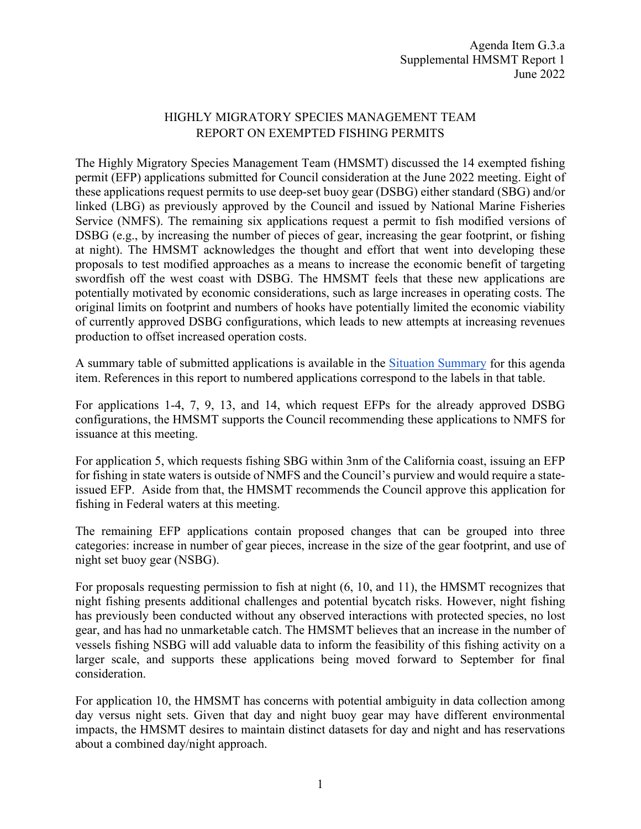## HIGHLY MIGRATORY SPECIES MANAGEMENT TEAM REPORT ON EXEMPTED FISHING PERMITS

The Highly Migratory Species Management Team (HMSMT) discussed the 14 exempted fishing permit (EFP) applications submitted for Council consideration at the June 2022 meeting. Eight of these applications request permits to use deep-set buoy gear (DSBG) either standard (SBG) and/or linked (LBG) as previously approved by the Council and issued by National Marine Fisheries Service (NMFS). The remaining six applications request a permit to fish modified versions of DSBG (e.g., by increasing the number of pieces of gear, increasing the gear footprint, or fishing at night). The HMSMT acknowledges the thought and effort that went into developing these proposals to test modified approaches as a means to increase the economic benefit of targeting swordfish off the west coast with DSBG. The HMSMT feels that these new applications are potentially motivated by economic considerations, such as large increases in operating costs. The original limits on footprint and numbers of hooks have potentially limited the economic viability of currently approved DSBG configurations, which leads to new attempts at increasing revenues production to offset increased operation costs.

A summary table of submitted applications is available in the [Situation Summary](https://www.pcouncil.org/documents/2022/05/g-3-situation-summary-exempted-fishing-permits.pdf/) for this agenda item. References in this report to numbered applications correspond to the labels in that table.

For applications 1-4, 7, 9, 13, and 14, which request EFPs for the already approved DSBG configurations, the HMSMT supports the Council recommending these applications to NMFS for issuance at this meeting.

For application 5, which requests fishing SBG within 3nm of the California coast, issuing an EFP for fishing in state waters is outside of NMFS and the Council's purview and would require a stateissued EFP. Aside from that, the HMSMT recommends the Council approve this application for fishing in Federal waters at this meeting.

The remaining EFP applications contain proposed changes that can be grouped into three categories: increase in number of gear pieces, increase in the size of the gear footprint, and use of night set buoy gear (NSBG).

For proposals requesting permission to fish at night (6, 10, and 11), the HMSMT recognizes that night fishing presents additional challenges and potential bycatch risks. However, night fishing has previously been conducted without any observed interactions with protected species, no lost gear, and has had no unmarketable catch. The HMSMT believes that an increase in the number of vessels fishing NSBG will add valuable data to inform the feasibility of this fishing activity on a larger scale, and supports these applications being moved forward to September for final consideration.

For application 10, the HMSMT has concerns with potential ambiguity in data collection among day versus night sets. Given that day and night buoy gear may have different environmental impacts, the HMSMT desires to maintain distinct datasets for day and night and has reservations about a combined day/night approach.